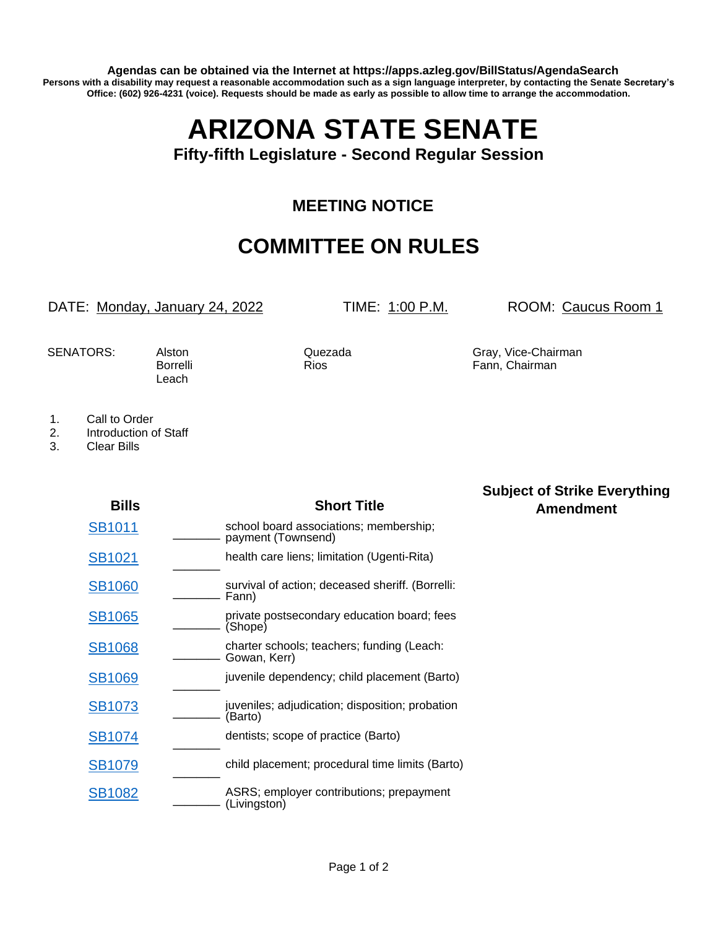**Agendas can be obtained via the Internet at https://apps.azleg.gov/BillStatus/AgendaSearch Persons with a disability may request a reasonable accommodation such as a sign language interpreter, by contacting the Senate Secretary's Office: (602) 926-4231 (voice). Requests should be made as early as possible to allow time to arrange the accommodation.**

# **ARIZONA STATE SENATE**

#### **Fifty-fifth Legislature - Second Regular Session**

## **MEETING NOTICE**

# **COMMITTEE ON RULES**

DATE: Monday, January 24, 2022 TIME: 1:00 P.M. ROOM: Caucus Room 1

**Subject of Strike Everything**

Leach

SENATORS: Alston Cuezada Gray, Vice-Chairman Borrelli Rios Roses Fann, Chairman

- 1. Call to Order
- 2. Introduction of Staff
- 3. Clear Bills

| <b>Bills</b>  | <b>Short Title</b>                                           | <b>Amendment</b> |
|---------------|--------------------------------------------------------------|------------------|
| SB1011        | school board associations; membership;<br>payment (Townsend) |                  |
| SB1021        | health care liens; limitation (Ugenti-Rita)                  |                  |
| <b>SB1060</b> | survival of action; deceased sheriff. (Borrelli:<br>Fann)    |                  |
| <b>SB1065</b> | private postsecondary education board; fees<br>(Shope)       |                  |
| <b>SB1068</b> | charter schools; teachers; funding (Leach:<br>Gowan, Kerr)   |                  |
| <b>SB1069</b> | juvenile dependency; child placement (Barto)                 |                  |
| <b>SB1073</b> | juveniles; adjudication; disposition; probation<br>(Barto)   |                  |
| <b>SB1074</b> | dentists; scope of practice (Barto)                          |                  |
| <b>SB1079</b> | child placement; procedural time limits (Barto)              |                  |
| <b>SB1082</b> | ASRS; employer contributions; prepayment<br>(Livingston)     |                  |